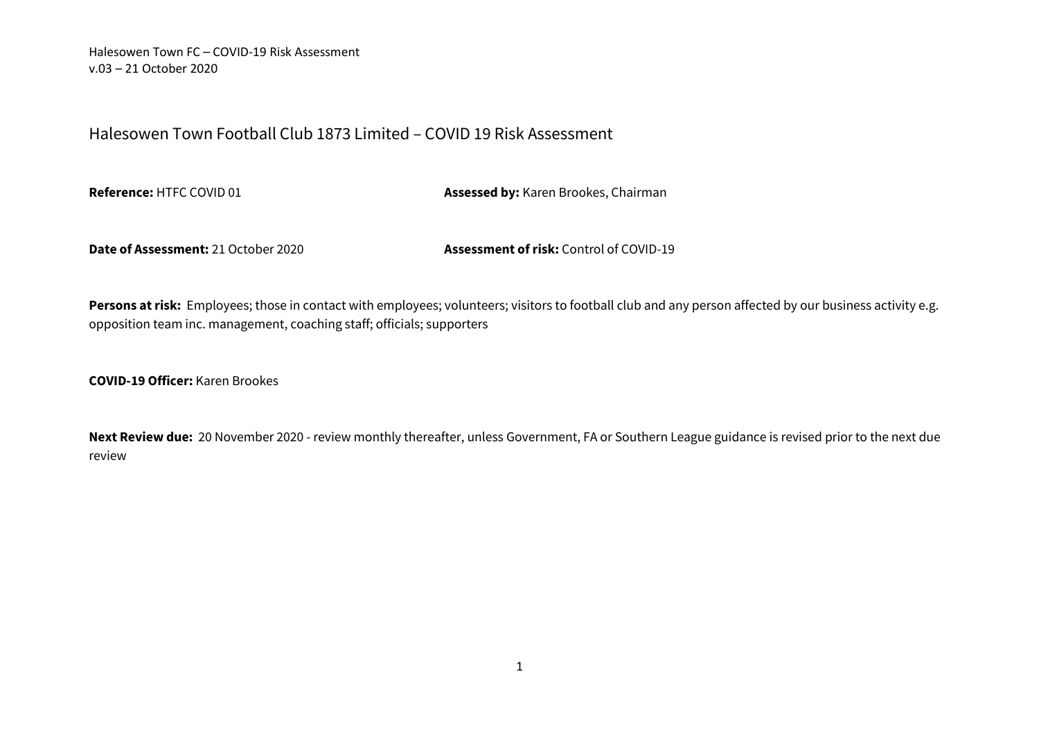# Halesowen Town Football Club 1873 Limited – COVID 19 Risk Assessment

**Reference:** HTFC COVID 01 **Assessed by:** Karen Brookes, Chairman

**Date of Assessment:** 21 October 2020 **Assessment of risk:** Control of COVID-19

Persons at risk: Employees; those in contact with employees; volunteers; visitors to football club and any person affected by our business activity e.g. opposition team inc. management, coaching staff; officials; supporters

**COVID-19 Officer:** Karen Brookes

**Next Review due:** 20 November 2020 - review monthly thereafter, unless Government, FA or Southern League guidance is revised prior to the next due review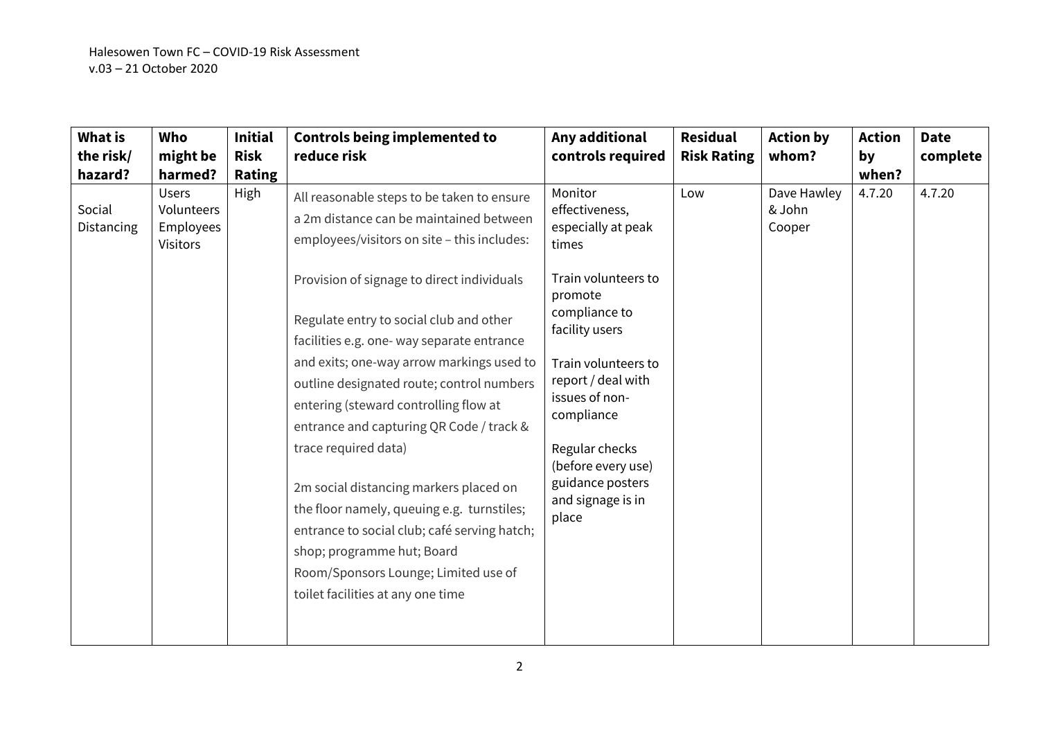| What is<br>the risk/            | Who<br>might be                                                | <b>Initial</b><br><b>Risk</b> | <b>Controls being implemented to</b><br>reduce risk                                                                                                                                                                                                                                                                | Any additional<br>controls required                                                                                                            | <b>Residual</b><br><b>Risk Rating</b> | <b>Action by</b><br>whom?       | <b>Action</b><br>by | <b>Date</b><br>complete |
|---------------------------------|----------------------------------------------------------------|-------------------------------|--------------------------------------------------------------------------------------------------------------------------------------------------------------------------------------------------------------------------------------------------------------------------------------------------------------------|------------------------------------------------------------------------------------------------------------------------------------------------|---------------------------------------|---------------------------------|---------------------|-------------------------|
| hazard?<br>Social<br>Distancing | harmed?<br><b>Users</b><br>Volunteers<br>Employees<br>Visitors | <b>Rating</b><br>High         | All reasonable steps to be taken to ensure<br>a 2m distance can be maintained between<br>employees/visitors on site - this includes:                                                                                                                                                                               | Monitor<br>effectiveness,<br>especially at peak<br>times                                                                                       | Low                                   | Dave Hawley<br>& John<br>Cooper | when?<br>4.7.20     | 4.7.20                  |
|                                 |                                                                |                               | Provision of signage to direct individuals<br>Regulate entry to social club and other<br>facilities e.g. one- way separate entrance<br>and exits; one-way arrow markings used to<br>outline designated route; control numbers<br>entering (steward controlling flow at<br>entrance and capturing QR Code / track & | Train volunteers to<br>promote<br>compliance to<br>facility users<br>Train volunteers to<br>report / deal with<br>issues of non-<br>compliance |                                       |                                 |                     |                         |
|                                 |                                                                |                               | trace required data)<br>2m social distancing markers placed on<br>the floor namely, queuing e.g. turnstiles;<br>entrance to social club; café serving hatch;<br>shop; programme hut; Board<br>Room/Sponsors Lounge; Limited use of<br>toilet facilities at any one time                                            | Regular checks<br>(before every use)<br>guidance posters<br>and signage is in<br>place                                                         |                                       |                                 |                     |                         |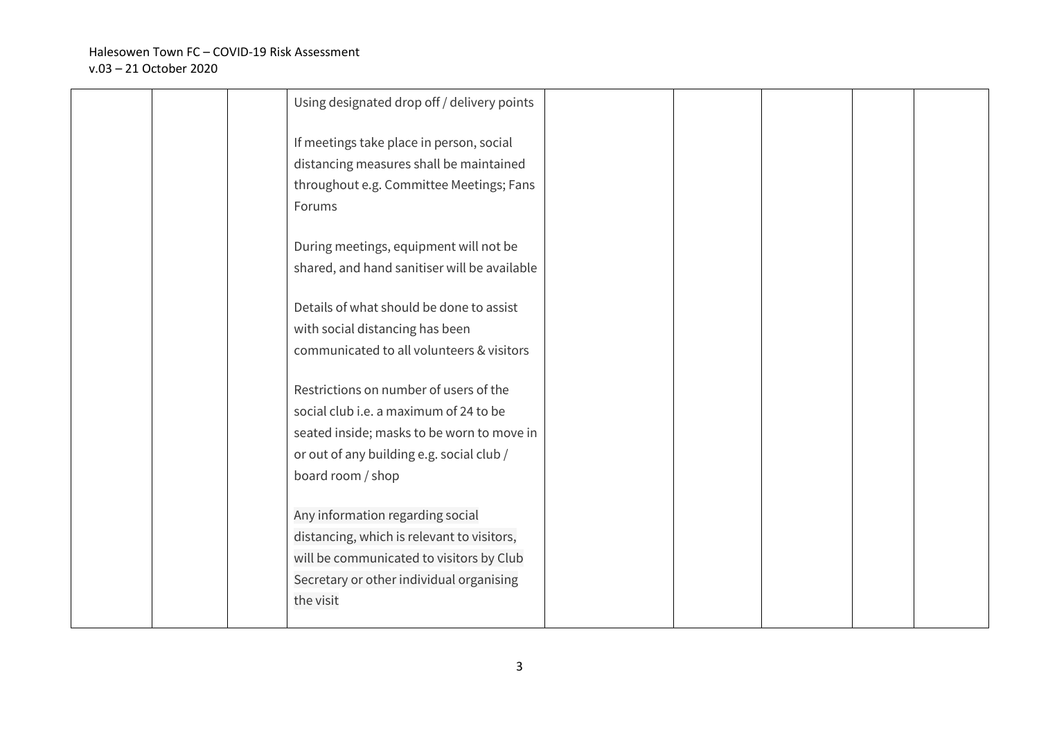|  | Using designated drop off / delivery points                                                                                                                                                 |  |  |  |
|--|---------------------------------------------------------------------------------------------------------------------------------------------------------------------------------------------|--|--|--|
|  | If meetings take place in person, social<br>distancing measures shall be maintained<br>throughout e.g. Committee Meetings; Fans<br>Forums                                                   |  |  |  |
|  | During meetings, equipment will not be<br>shared, and hand sanitiser will be available                                                                                                      |  |  |  |
|  | Details of what should be done to assist<br>with social distancing has been<br>communicated to all volunteers & visitors                                                                    |  |  |  |
|  | Restrictions on number of users of the<br>social club i.e. a maximum of 24 to be<br>seated inside; masks to be worn to move in<br>or out of any building e.g. social club /                 |  |  |  |
|  | board room / shop<br>Any information regarding social<br>distancing, which is relevant to visitors,<br>will be communicated to visitors by Club<br>Secretary or other individual organising |  |  |  |
|  | the visit                                                                                                                                                                                   |  |  |  |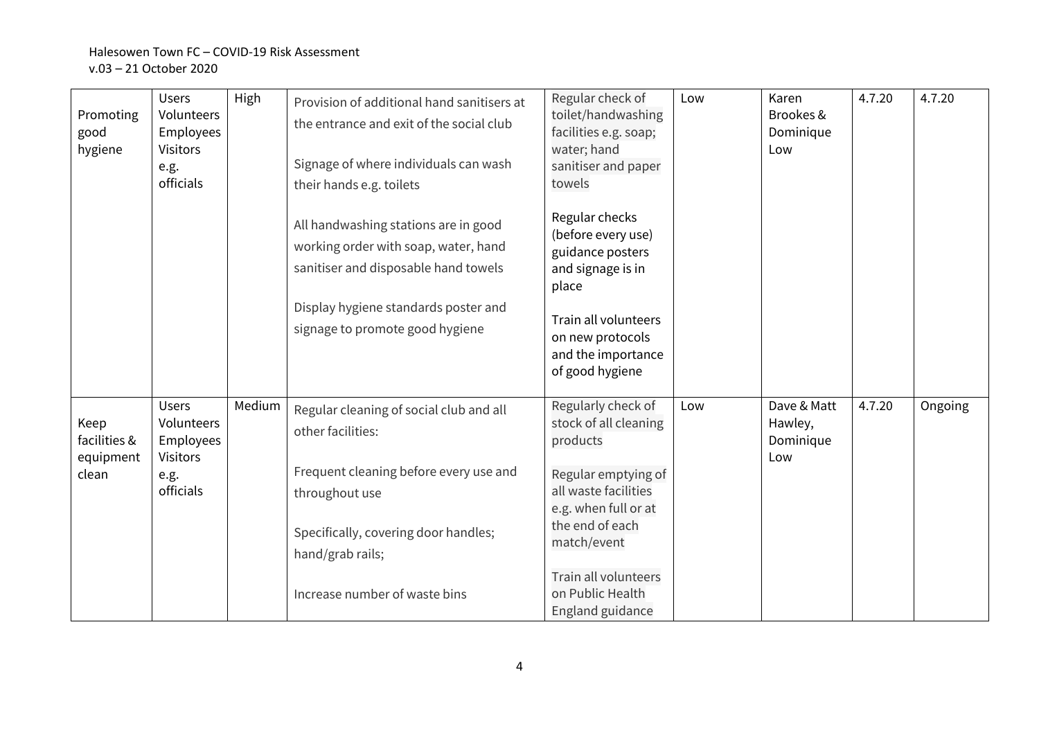| Promoting<br>good<br>hygiene               | <b>Users</b><br>Volunteers<br>Employees<br><b>Visitors</b><br>e.g.<br>officials | High   | Provision of additional hand sanitisers at<br>the entrance and exit of the social club<br>Signage of where individuals can wash<br>their hands e.g. toilets | Regular check of<br>toilet/handwashing<br>facilities e.g. soap;<br>water; hand<br>sanitiser and paper<br>towels                                   | Low | Karen<br>Brookes &<br>Dominique<br>Low     | 4.7.20 | 4.7.20  |
|--------------------------------------------|---------------------------------------------------------------------------------|--------|-------------------------------------------------------------------------------------------------------------------------------------------------------------|---------------------------------------------------------------------------------------------------------------------------------------------------|-----|--------------------------------------------|--------|---------|
|                                            |                                                                                 |        | All handwashing stations are in good<br>working order with soap, water, hand<br>sanitiser and disposable hand towels                                        | Regular checks<br>(before every use)<br>guidance posters<br>and signage is in<br>place                                                            |     |                                            |        |         |
|                                            |                                                                                 |        | Display hygiene standards poster and<br>signage to promote good hygiene                                                                                     | Train all volunteers<br>on new protocols<br>and the importance<br>of good hygiene                                                                 |     |                                            |        |         |
| Keep<br>facilities &<br>equipment<br>clean | <b>Users</b><br>Volunteers<br>Employees<br><b>Visitors</b><br>e.g.<br>officials | Medium | Regular cleaning of social club and all<br>other facilities:<br>Frequent cleaning before every use and<br>throughout use                                    | Regularly check of<br>stock of all cleaning<br>products<br>Regular emptying of<br>all waste facilities<br>e.g. when full or at<br>the end of each | Low | Dave & Matt<br>Hawley,<br>Dominique<br>Low | 4.7.20 | Ongoing |
|                                            |                                                                                 |        | Specifically, covering door handles;<br>hand/grab rails;                                                                                                    | match/event                                                                                                                                       |     |                                            |        |         |
|                                            |                                                                                 |        | Increase number of waste bins                                                                                                                               | Train all volunteers<br>on Public Health<br>England guidance                                                                                      |     |                                            |        |         |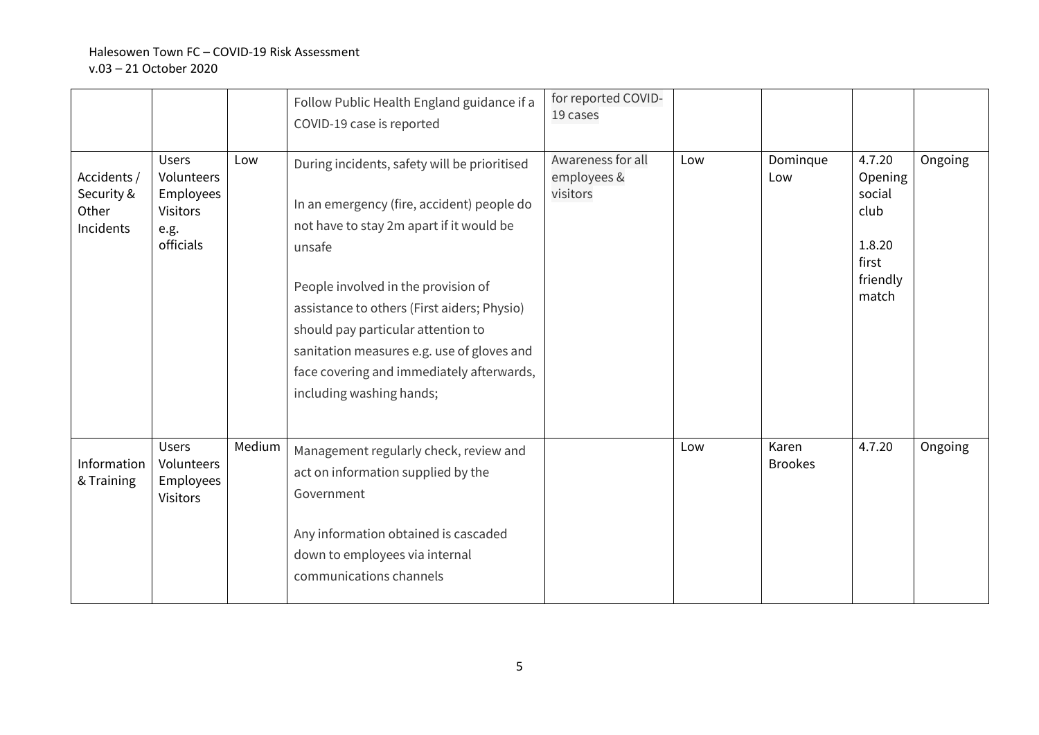|                                                 |                                                                                 |        | Follow Public Health England guidance if a<br>COVID-19 case is reported                                                                                                                                                                                                                                                                                                                             | for reported COVID-<br>19 cases              |     |                         |                                                                             |         |
|-------------------------------------------------|---------------------------------------------------------------------------------|--------|-----------------------------------------------------------------------------------------------------------------------------------------------------------------------------------------------------------------------------------------------------------------------------------------------------------------------------------------------------------------------------------------------------|----------------------------------------------|-----|-------------------------|-----------------------------------------------------------------------------|---------|
| Accidents /<br>Security &<br>Other<br>Incidents | <b>Users</b><br>Volunteers<br>Employees<br><b>Visitors</b><br>e.g.<br>officials | Low    | During incidents, safety will be prioritised<br>In an emergency (fire, accident) people do<br>not have to stay 2m apart if it would be<br>unsafe<br>People involved in the provision of<br>assistance to others (First aiders; Physio)<br>should pay particular attention to<br>sanitation measures e.g. use of gloves and<br>face covering and immediately afterwards,<br>including washing hands; | Awareness for all<br>employees &<br>visitors | Low | Dominque<br>Low         | 4.7.20<br>Opening<br>social<br>club<br>1.8.20<br>first<br>friendly<br>match | Ongoing |
| Information<br>& Training                       | <b>Users</b><br>Volunteers<br>Employees<br><b>Visitors</b>                      | Medium | Management regularly check, review and<br>act on information supplied by the<br>Government<br>Any information obtained is cascaded<br>down to employees via internal<br>communications channels                                                                                                                                                                                                     |                                              | Low | Karen<br><b>Brookes</b> | 4.7.20                                                                      | Ongoing |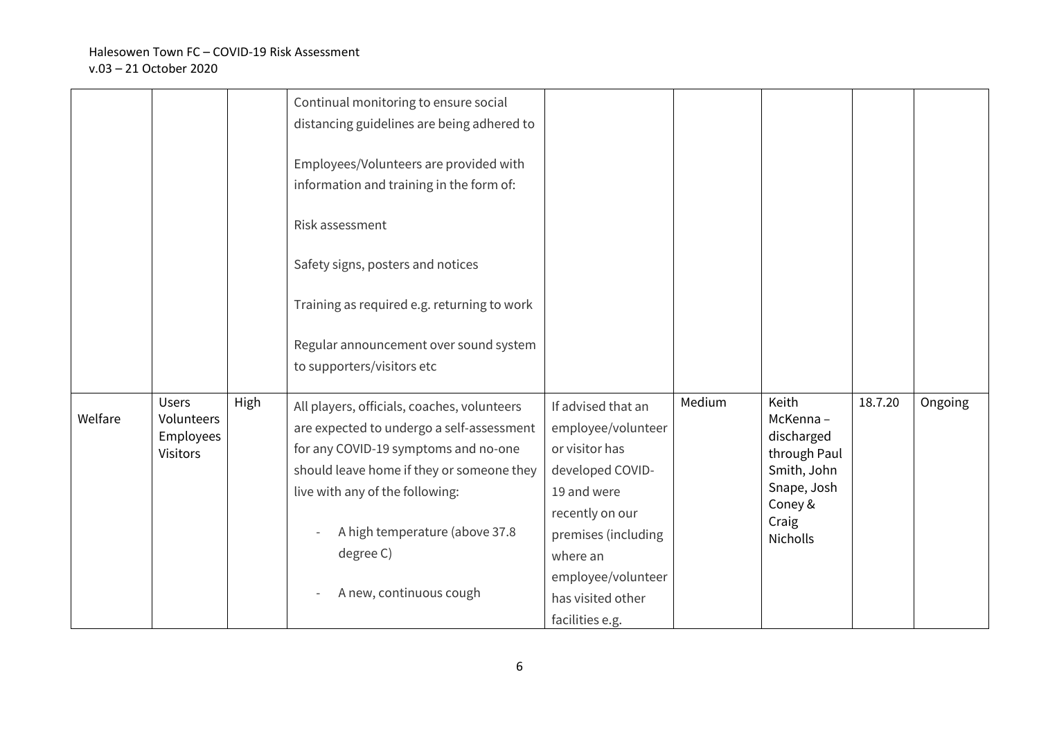|         |                                                            |      | Continual monitoring to ensure social<br>distancing guidelines are being adhered to<br>Employees/Volunteers are provided with<br>information and training in the form of:<br>Risk assessment<br>Safety signs, posters and notices<br>Training as required e.g. returning to work<br>Regular announcement over sound system |                                                                                                                                                                                                                   |        |                                                                                                                      |         |         |
|---------|------------------------------------------------------------|------|----------------------------------------------------------------------------------------------------------------------------------------------------------------------------------------------------------------------------------------------------------------------------------------------------------------------------|-------------------------------------------------------------------------------------------------------------------------------------------------------------------------------------------------------------------|--------|----------------------------------------------------------------------------------------------------------------------|---------|---------|
|         |                                                            |      | to supporters/visitors etc                                                                                                                                                                                                                                                                                                 |                                                                                                                                                                                                                   |        |                                                                                                                      |         |         |
| Welfare | <b>Users</b><br>Volunteers<br>Employees<br><b>Visitors</b> | High | All players, officials, coaches, volunteers<br>are expected to undergo a self-assessment<br>for any COVID-19 symptoms and no-one<br>should leave home if they or someone they<br>live with any of the following:<br>A high temperature (above 37.8<br>degree C)<br>A new, continuous cough                                 | If advised that an<br>employee/volunteer<br>or visitor has<br>developed COVID-<br>19 and were<br>recently on our<br>premises (including<br>where an<br>employee/volunteer<br>has visited other<br>facilities e.g. | Medium | Keith<br>McKenna-<br>discharged<br>through Paul<br>Smith, John<br>Snape, Josh<br>Coney &<br>Craig<br><b>Nicholls</b> | 18.7.20 | Ongoing |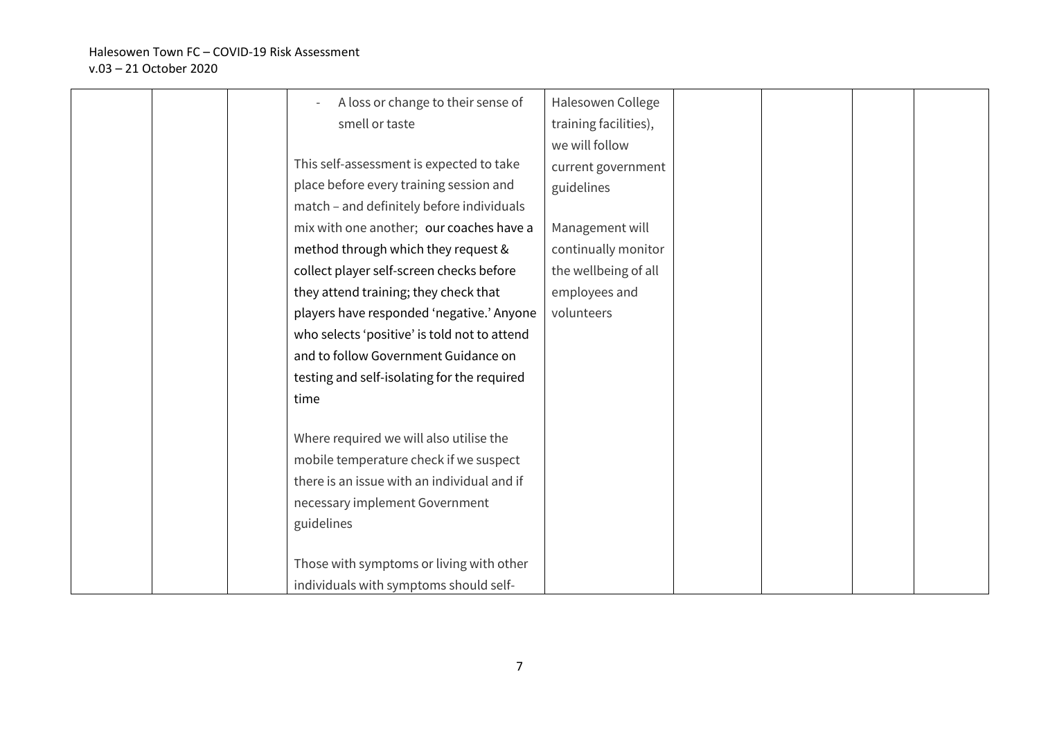|  | A loss or change to their sense of           | Halesowen College     |  |  |
|--|----------------------------------------------|-----------------------|--|--|
|  | smell or taste                               | training facilities), |  |  |
|  |                                              | we will follow        |  |  |
|  | This self-assessment is expected to take     | current government    |  |  |
|  | place before every training session and      | guidelines            |  |  |
|  | match - and definitely before individuals    |                       |  |  |
|  | mix with one another; our coaches have a     | Management will       |  |  |
|  | method through which they request &          | continually monitor   |  |  |
|  | collect player self-screen checks before     | the wellbeing of all  |  |  |
|  | they attend training; they check that        | employees and         |  |  |
|  | players have responded 'negative.' Anyone    | volunteers            |  |  |
|  | who selects 'positive' is told not to attend |                       |  |  |
|  | and to follow Government Guidance on         |                       |  |  |
|  | testing and self-isolating for the required  |                       |  |  |
|  | time                                         |                       |  |  |
|  |                                              |                       |  |  |
|  | Where required we will also utilise the      |                       |  |  |
|  | mobile temperature check if we suspect       |                       |  |  |
|  | there is an issue with an individual and if  |                       |  |  |
|  | necessary implement Government               |                       |  |  |
|  | guidelines                                   |                       |  |  |
|  |                                              |                       |  |  |
|  | Those with symptoms or living with other     |                       |  |  |
|  | individuals with symptoms should self-       |                       |  |  |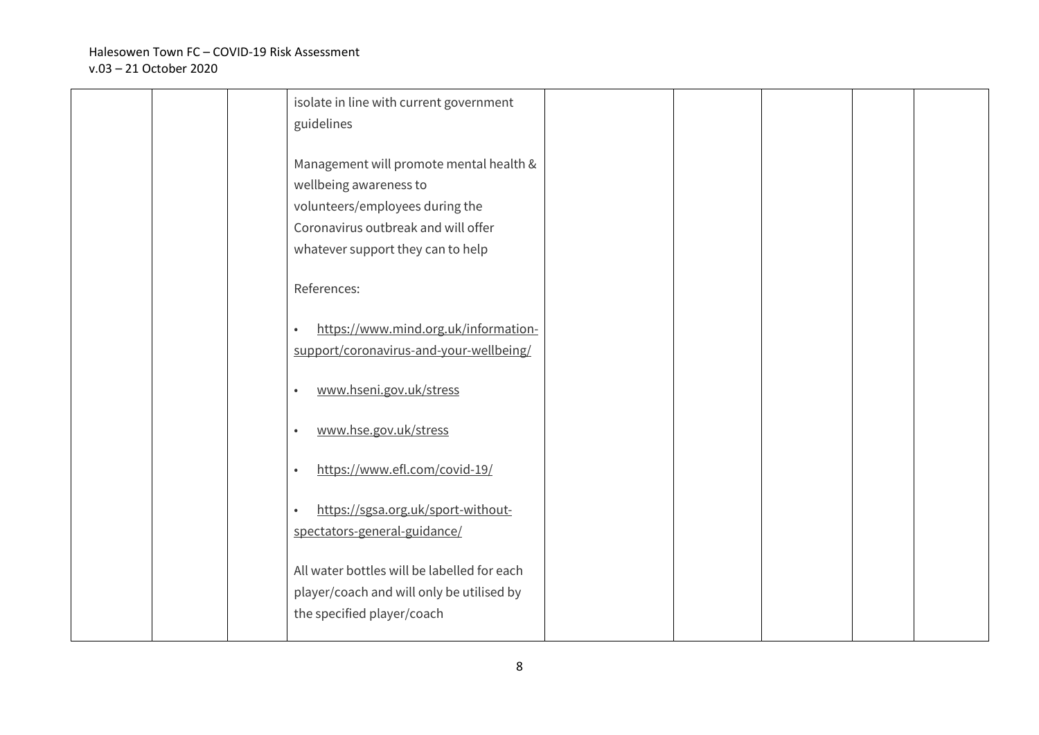|  | isolate in line with current government<br>guidelines                                                                                                                            |  |  |  |
|--|----------------------------------------------------------------------------------------------------------------------------------------------------------------------------------|--|--|--|
|  | Management will promote mental health &<br>wellbeing awareness to<br>volunteers/employees during the<br>Coronavirus outbreak and will offer<br>whatever support they can to help |  |  |  |
|  | References:                                                                                                                                                                      |  |  |  |
|  | https://www.mind.org.uk/information-<br>support/coronavirus-and-your-wellbeing/                                                                                                  |  |  |  |
|  | www.hseni.gov.uk/stress                                                                                                                                                          |  |  |  |
|  | www.hse.gov.uk/stress                                                                                                                                                            |  |  |  |
|  | https://www.efl.com/covid-19/                                                                                                                                                    |  |  |  |
|  | https://sgsa.org.uk/sport-without-<br>spectators-general-guidance/                                                                                                               |  |  |  |
|  | All water bottles will be labelled for each<br>player/coach and will only be utilised by<br>the specified player/coach                                                           |  |  |  |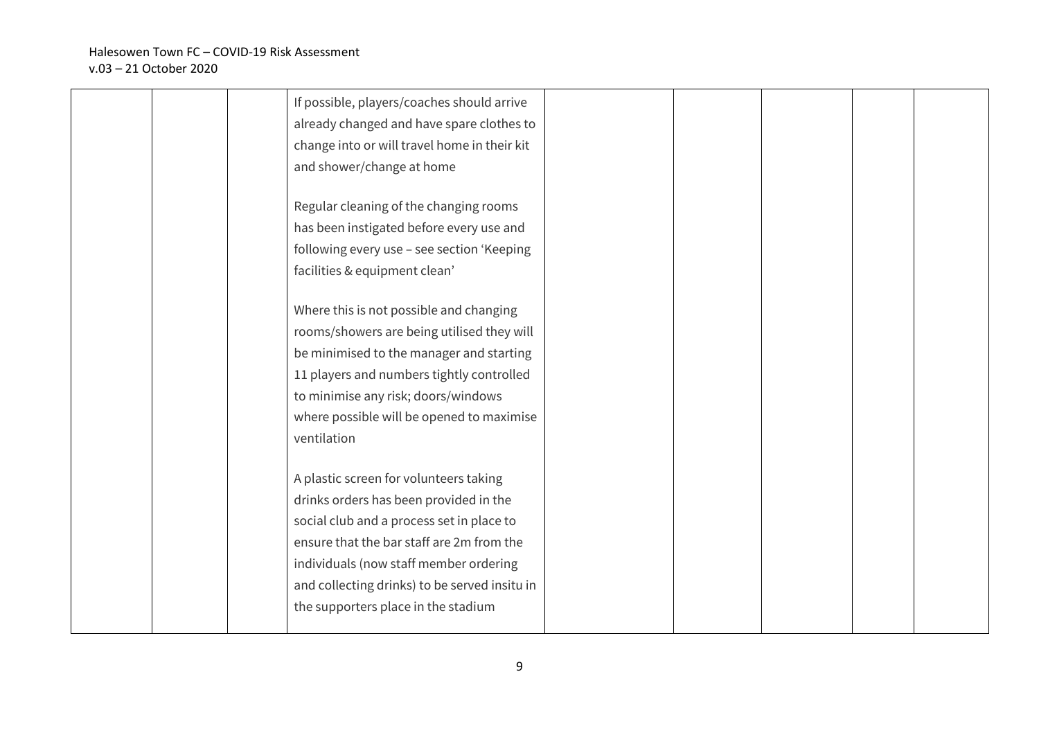|  | If possible, players/coaches should arrive    |  |  |  |
|--|-----------------------------------------------|--|--|--|
|  | already changed and have spare clothes to     |  |  |  |
|  | change into or will travel home in their kit  |  |  |  |
|  | and shower/change at home                     |  |  |  |
|  |                                               |  |  |  |
|  | Regular cleaning of the changing rooms        |  |  |  |
|  | has been instigated before every use and      |  |  |  |
|  | following every use - see section 'Keeping    |  |  |  |
|  | facilities & equipment clean'                 |  |  |  |
|  |                                               |  |  |  |
|  | Where this is not possible and changing       |  |  |  |
|  | rooms/showers are being utilised they will    |  |  |  |
|  | be minimised to the manager and starting      |  |  |  |
|  | 11 players and numbers tightly controlled     |  |  |  |
|  | to minimise any risk; doors/windows           |  |  |  |
|  | where possible will be opened to maximise     |  |  |  |
|  | ventilation                                   |  |  |  |
|  |                                               |  |  |  |
|  | A plastic screen for volunteers taking        |  |  |  |
|  | drinks orders has been provided in the        |  |  |  |
|  | social club and a process set in place to     |  |  |  |
|  | ensure that the bar staff are 2m from the     |  |  |  |
|  | individuals (now staff member ordering        |  |  |  |
|  | and collecting drinks) to be served insitu in |  |  |  |
|  | the supporters place in the stadium           |  |  |  |
|  |                                               |  |  |  |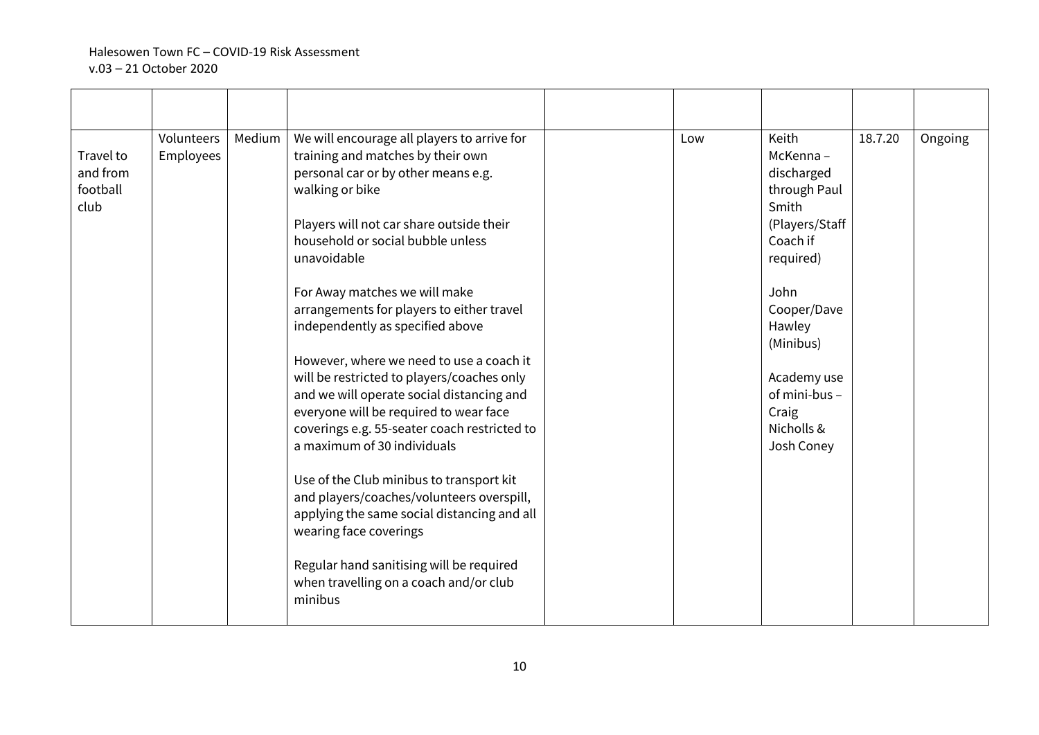| Travel to<br>and from<br>football<br>club | Volunteers<br>Employees | Medium | We will encourage all players to arrive for<br>training and matches by their own<br>personal car or by other means e.g.<br>walking or bike<br>Players will not car share outside their<br>household or social bubble unless<br>unavoidable<br>For Away matches we will make<br>arrangements for players to either travel<br>independently as specified above<br>However, where we need to use a coach it<br>will be restricted to players/coaches only<br>and we will operate social distancing and<br>everyone will be required to wear face<br>coverings e.g. 55-seater coach restricted to<br>a maximum of 30 individuals<br>Use of the Club minibus to transport kit<br>and players/coaches/volunteers overspill,<br>applying the same social distancing and all<br>wearing face coverings<br>Regular hand sanitising will be required<br>when travelling on a coach and/or club<br>minibus | Low | Keith<br>McKenna-<br>discharged<br>through Paul<br>Smith<br>(Players/Staff<br>Coach if<br>required)<br>John<br>Cooper/Dave<br>Hawley<br>(Minibus)<br>Academy use<br>of mini-bus -<br>Craig<br>Nicholls &<br>Josh Coney | 18.7.20 | Ongoing |
|-------------------------------------------|-------------------------|--------|-------------------------------------------------------------------------------------------------------------------------------------------------------------------------------------------------------------------------------------------------------------------------------------------------------------------------------------------------------------------------------------------------------------------------------------------------------------------------------------------------------------------------------------------------------------------------------------------------------------------------------------------------------------------------------------------------------------------------------------------------------------------------------------------------------------------------------------------------------------------------------------------------|-----|------------------------------------------------------------------------------------------------------------------------------------------------------------------------------------------------------------------------|---------|---------|
|                                           |                         |        |                                                                                                                                                                                                                                                                                                                                                                                                                                                                                                                                                                                                                                                                                                                                                                                                                                                                                                 |     |                                                                                                                                                                                                                        |         |         |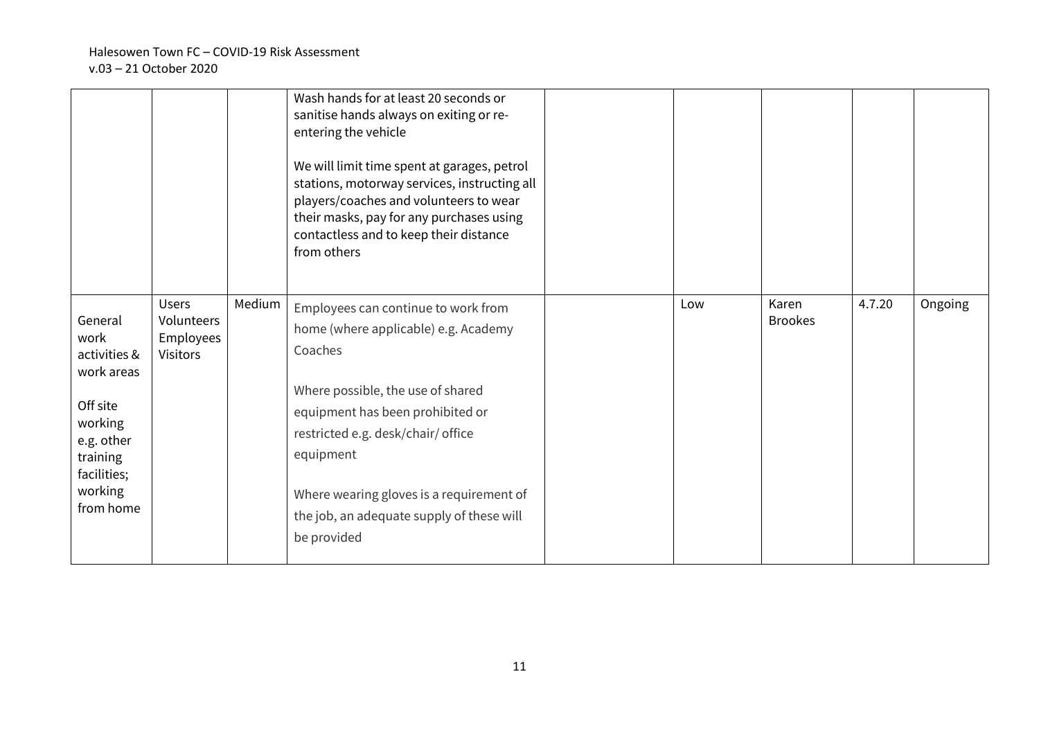|                            |                                         |        | Wash hands for at least 20 seconds or<br>sanitise hands always on exiting or re-<br>entering the vehicle<br>We will limit time spent at garages, petrol<br>stations, motorway services, instructing all<br>players/coaches and volunteers to wear<br>their masks, pay for any purchases using<br>contactless and to keep their distance<br>from others |     |                         |        |         |
|----------------------------|-----------------------------------------|--------|--------------------------------------------------------------------------------------------------------------------------------------------------------------------------------------------------------------------------------------------------------------------------------------------------------------------------------------------------------|-----|-------------------------|--------|---------|
| General<br>work            | <b>Users</b><br>Volunteers<br>Employees | Medium | Employees can continue to work from<br>home (where applicable) e.g. Academy                                                                                                                                                                                                                                                                            | Low | Karen<br><b>Brookes</b> | 4.7.20 | Ongoing |
| activities &<br>work areas | <b>Visitors</b>                         |        | Coaches                                                                                                                                                                                                                                                                                                                                                |     |                         |        |         |
| Off site                   |                                         |        | Where possible, the use of shared                                                                                                                                                                                                                                                                                                                      |     |                         |        |         |
| working                    |                                         |        | equipment has been prohibited or                                                                                                                                                                                                                                                                                                                       |     |                         |        |         |
| e.g. other                 |                                         |        | restricted e.g. desk/chair/ office                                                                                                                                                                                                                                                                                                                     |     |                         |        |         |
| training<br>facilities;    |                                         |        | equipment                                                                                                                                                                                                                                                                                                                                              |     |                         |        |         |
| working                    |                                         |        | Where wearing gloves is a requirement of                                                                                                                                                                                                                                                                                                               |     |                         |        |         |
| from home                  |                                         |        | the job, an adequate supply of these will                                                                                                                                                                                                                                                                                                              |     |                         |        |         |
|                            |                                         |        | be provided                                                                                                                                                                                                                                                                                                                                            |     |                         |        |         |
|                            |                                         |        |                                                                                                                                                                                                                                                                                                                                                        |     |                         |        |         |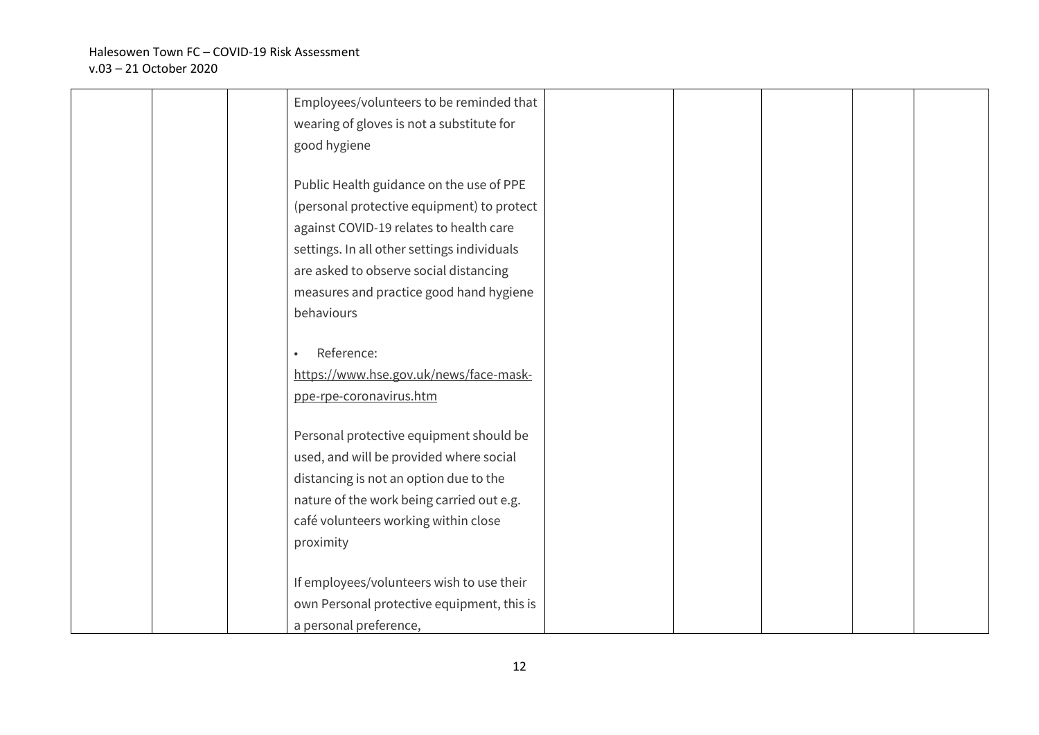|  | Employees/volunteers to be reminded that    |  |  |  |
|--|---------------------------------------------|--|--|--|
|  | wearing of gloves is not a substitute for   |  |  |  |
|  | good hygiene                                |  |  |  |
|  |                                             |  |  |  |
|  | Public Health guidance on the use of PPE    |  |  |  |
|  | (personal protective equipment) to protect  |  |  |  |
|  | against COVID-19 relates to health care     |  |  |  |
|  | settings. In all other settings individuals |  |  |  |
|  | are asked to observe social distancing      |  |  |  |
|  | measures and practice good hand hygiene     |  |  |  |
|  | behaviours                                  |  |  |  |
|  |                                             |  |  |  |
|  | Reference:                                  |  |  |  |
|  | https://www.hse.gov.uk/news/face-mask-      |  |  |  |
|  | ppe-rpe-coronavirus.htm                     |  |  |  |
|  |                                             |  |  |  |
|  | Personal protective equipment should be     |  |  |  |
|  | used, and will be provided where social     |  |  |  |
|  | distancing is not an option due to the      |  |  |  |
|  | nature of the work being carried out e.g.   |  |  |  |
|  | café volunteers working within close        |  |  |  |
|  | proximity                                   |  |  |  |
|  |                                             |  |  |  |
|  | If employees/volunteers wish to use their   |  |  |  |
|  | own Personal protective equipment, this is  |  |  |  |
|  | a personal preference,                      |  |  |  |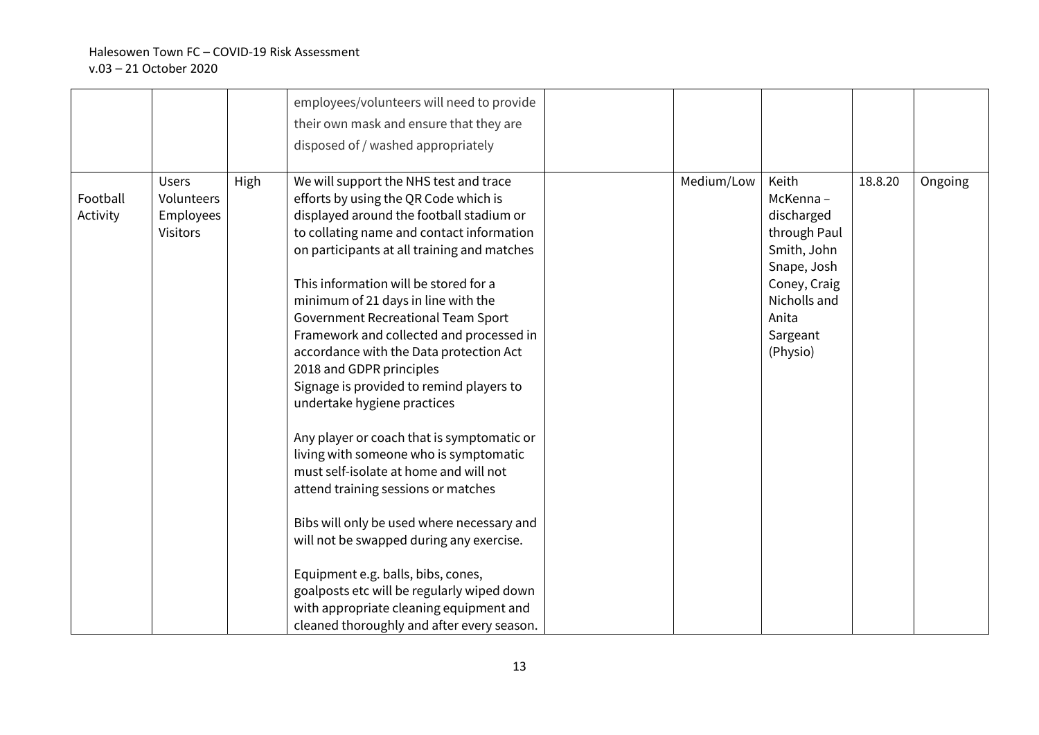|                      |                                                            |      | employees/volunteers will need to provide<br>their own mask and ensure that they are<br>disposed of / washed appropriately                                                                                                                                                                                                                                                                                                                                                                                                                                                                                                                                                                                                                                                                                                                                                                                                                                                                  |            |                                                                                                                                                |         |         |
|----------------------|------------------------------------------------------------|------|---------------------------------------------------------------------------------------------------------------------------------------------------------------------------------------------------------------------------------------------------------------------------------------------------------------------------------------------------------------------------------------------------------------------------------------------------------------------------------------------------------------------------------------------------------------------------------------------------------------------------------------------------------------------------------------------------------------------------------------------------------------------------------------------------------------------------------------------------------------------------------------------------------------------------------------------------------------------------------------------|------------|------------------------------------------------------------------------------------------------------------------------------------------------|---------|---------|
| Football<br>Activity | <b>Users</b><br>Volunteers<br>Employees<br><b>Visitors</b> | High | We will support the NHS test and trace<br>efforts by using the QR Code which is<br>displayed around the football stadium or<br>to collating name and contact information<br>on participants at all training and matches<br>This information will be stored for a<br>minimum of 21 days in line with the<br>Government Recreational Team Sport<br>Framework and collected and processed in<br>accordance with the Data protection Act<br>2018 and GDPR principles<br>Signage is provided to remind players to<br>undertake hygiene practices<br>Any player or coach that is symptomatic or<br>living with someone who is symptomatic<br>must self-isolate at home and will not<br>attend training sessions or matches<br>Bibs will only be used where necessary and<br>will not be swapped during any exercise.<br>Equipment e.g. balls, bibs, cones,<br>goalposts etc will be regularly wiped down<br>with appropriate cleaning equipment and<br>cleaned thoroughly and after every season. | Medium/Low | Keith<br>McKenna-<br>discharged<br>through Paul<br>Smith, John<br>Snape, Josh<br>Coney, Craig<br>Nicholls and<br>Anita<br>Sargeant<br>(Physio) | 18.8.20 | Ongoing |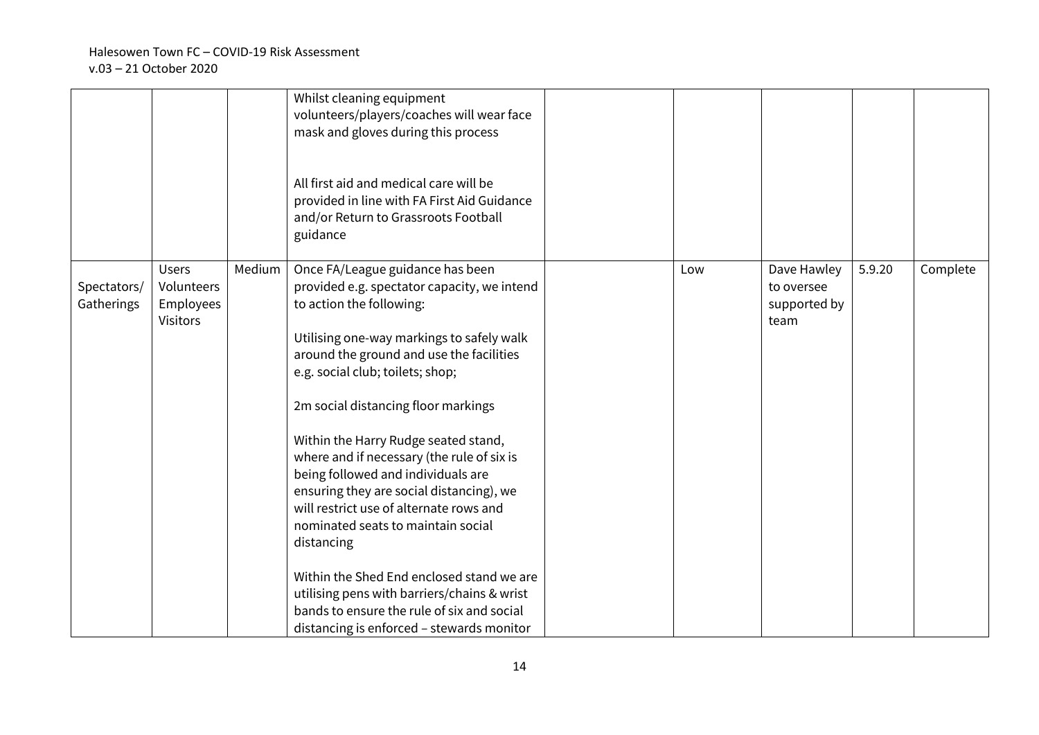|                           |                                                            |        | Whilst cleaning equipment<br>volunteers/players/coaches will wear face<br>mask and gloves during this process<br>All first aid and medical care will be<br>provided in line with FA First Aid Guidance<br>and/or Return to Grassroots Football<br>guidance                                                                                                                                                                                                                                                                                                                                                                                                                                                                                    |     |                                                   |        |          |
|---------------------------|------------------------------------------------------------|--------|-----------------------------------------------------------------------------------------------------------------------------------------------------------------------------------------------------------------------------------------------------------------------------------------------------------------------------------------------------------------------------------------------------------------------------------------------------------------------------------------------------------------------------------------------------------------------------------------------------------------------------------------------------------------------------------------------------------------------------------------------|-----|---------------------------------------------------|--------|----------|
| Spectators/<br>Gatherings | <b>Users</b><br>Volunteers<br>Employees<br><b>Visitors</b> | Medium | Once FA/League guidance has been<br>provided e.g. spectator capacity, we intend<br>to action the following:<br>Utilising one-way markings to safely walk<br>around the ground and use the facilities<br>e.g. social club; toilets; shop;<br>2m social distancing floor markings<br>Within the Harry Rudge seated stand,<br>where and if necessary (the rule of six is<br>being followed and individuals are<br>ensuring they are social distancing), we<br>will restrict use of alternate rows and<br>nominated seats to maintain social<br>distancing<br>Within the Shed End enclosed stand we are<br>utilising pens with barriers/chains & wrist<br>bands to ensure the rule of six and social<br>distancing is enforced - stewards monitor | Low | Dave Hawley<br>to oversee<br>supported by<br>team | 5.9.20 | Complete |